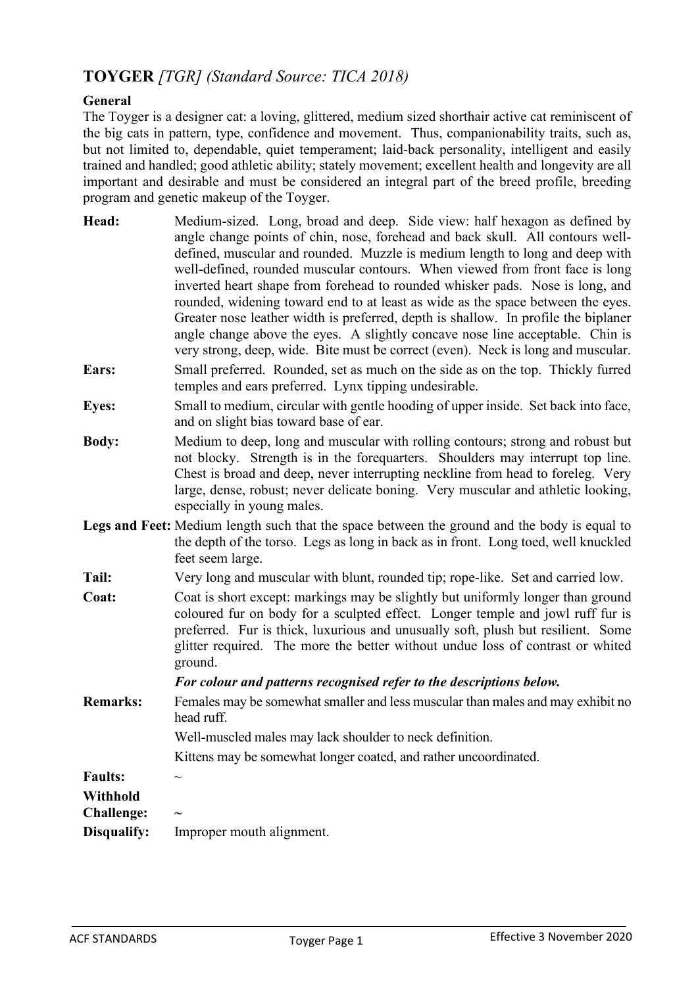# **TOYGER** *[TGR] (Standard Source: TICA 2018)*

# **General**

The Toyger is a designer cat: a loving, glittered, medium sized shorthair active cat reminiscent of the big cats in pattern, type, confidence and movement. Thus, companionability traits, such as, but not limited to, dependable, quiet temperament; laid-back personality, intelligent and easily trained and handled; good athletic ability; stately movement; excellent health and longevity are all important and desirable and must be considered an integral part of the breed profile, breeding program and genetic makeup of the Toyger.

- **Head:** Medium-sized. Long, broad and deep. Side view: half hexagon as defined by angle change points of chin, nose, forehead and back skull. All contours welldefined, muscular and rounded. Muzzle is medium length to long and deep with well-defined, rounded muscular contours. When viewed from front face is long inverted heart shape from forehead to rounded whisker pads. Nose is long, and rounded, widening toward end to at least as wide as the space between the eyes. Greater nose leather width is preferred, depth is shallow. In profile the biplaner angle change above the eyes. A slightly concave nose line acceptable. Chin is very strong, deep, wide. Bite must be correct (even). Neck is long and muscular.
- **Ears:** Small preferred. Rounded, set as much on the side as on the top. Thickly furred temples and ears preferred. Lynx tipping undesirable.
- **Eyes:** Small to medium, circular with gentle hooding of upper inside. Set back into face, and on slight bias toward base of ear.
- **Body:** Medium to deep, long and muscular with rolling contours; strong and robust but not blocky. Strength is in the forequarters. Shoulders may interrupt top line. Chest is broad and deep, never interrupting neckline from head to foreleg. Very large, dense, robust; never delicate boning. Very muscular and athletic looking, especially in young males.
- **Legs and Feet:** Medium length such that the space between the ground and the body is equal to the depth of the torso. Legs as long in back as in front. Long toed, well knuckled feet seem large.
- **Tail:** Very long and muscular with blunt, rounded tip; rope-like. Set and carried low.
- **Coat:** Coat is short except: markings may be slightly but uniformly longer than ground coloured fur on body for a sculpted effect. Longer temple and jowl ruff fur is preferred. Fur is thick, luxurious and unusually soft, plush but resilient. Some glitter required. The more the better without undue loss of contrast or whited ground.

#### *For colour and patterns recognised refer to the descriptions below.*

**Remarks:** Females may be somewhat smaller and less muscular than males and may exhibit no head ruff.

Well-muscled males may lack shoulder to neck definition.

Kittens may be somewhat longer coated, and rather uncoordinated.

| таинэ.     |  |
|------------|--|
| Withhold   |  |
| Challanga. |  |

**Faults:** ~

| <b>Challenge:</b> | $\tilde{\phantom{a}}$     |
|-------------------|---------------------------|
| Disqualify:       | Improper mouth alignment. |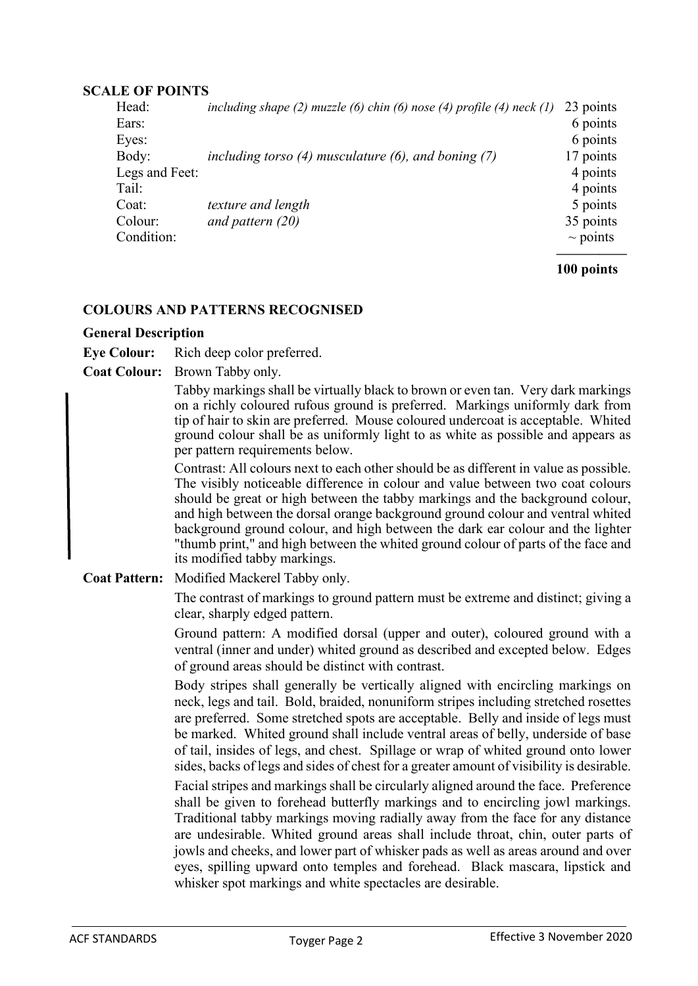#### **SCALE OF POINTS**

| Head:          | including shape (2) muzzle (6) chin (6) nose (4) profile (4) neck $(1)$ | 23 points     |
|----------------|-------------------------------------------------------------------------|---------------|
| Ears:          |                                                                         | 6 points      |
| Eyes:          |                                                                         | 6 points      |
| Body:          | including torso $(4)$ musculature $(6)$ , and boning $(7)$              | 17 points     |
| Legs and Feet: |                                                                         | 4 points      |
| Tail:          |                                                                         | 4 points      |
| Coat:          | texture and length                                                      | 5 points      |
| Colour:        | and pattern $(20)$                                                      | 35 points     |
| Condition:     |                                                                         | $\sim$ points |
|                |                                                                         |               |

**100 points**

## **COLOURS AND PATTERNS RECOGNISED**

## **General Description**

**Eye Colour:** Rich deep color preferred.

**Coat Colour:** Brown Tabby only.

Tabby markings shall be virtually black to brown or even tan. Very dark markings on a richly coloured rufous ground is preferred. Markings uniformly dark from tip of hair to skin are preferred. Mouse coloured undercoat is acceptable. Whited ground colour shall be as uniformly light to as white as possible and appears as per pattern requirements below.

Contrast: All colours next to each other should be as different in value as possible. The visibly noticeable difference in colour and value between two coat colours should be great or high between the tabby markings and the background colour, and high between the dorsal orange background ground colour and ventral whited background ground colour, and high between the dark ear colour and the lighter "thumb print," and high between the whited ground colour of parts of the face and its modified tabby markings.

**Coat Pattern:** Modified Mackerel Tabby only.

The contrast of markings to ground pattern must be extreme and distinct; giving a clear, sharply edged pattern.

Ground pattern: A modified dorsal (upper and outer), coloured ground with a ventral (inner and under) whited ground as described and excepted below. Edges of ground areas should be distinct with contrast.

Body stripes shall generally be vertically aligned with encircling markings on neck, legs and tail. Bold, braided, nonuniform stripes including stretched rosettes are preferred. Some stretched spots are acceptable. Belly and inside of legs must be marked. Whited ground shall include ventral areas of belly, underside of base of tail, insides of legs, and chest. Spillage or wrap of whited ground onto lower sides, backs of legs and sides of chest for a greater amount of visibility is desirable.

Facial stripes and markings shall be circularly aligned around the face. Preference shall be given to forehead butterfly markings and to encircling jowl markings. Traditional tabby markings moving radially away from the face for any distance are undesirable. Whited ground areas shall include throat, chin, outer parts of jowls and cheeks, and lower part of whisker pads as well as areas around and over eyes, spilling upward onto temples and forehead. Black mascara, lipstick and whisker spot markings and white spectacles are desirable.